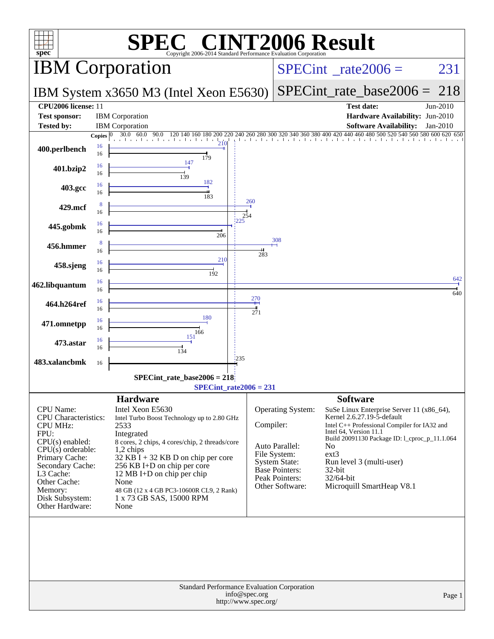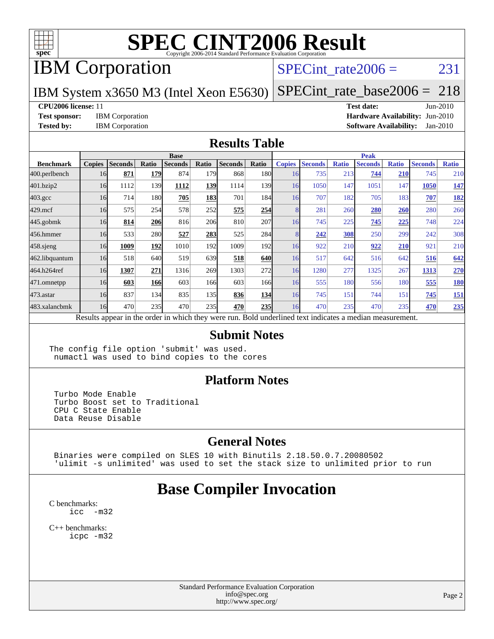

# IBM Corporation

### SPECint rate $2006 = 231$

### IBM System x3650 M3 (Intel Xeon E5630)

[SPECint\\_rate\\_base2006 =](http://www.spec.org/auto/cpu2006/Docs/result-fields.html#SPECintratebase2006) 218

#### **[CPU2006 license:](http://www.spec.org/auto/cpu2006/Docs/result-fields.html#CPU2006license)** 11 **[Test date:](http://www.spec.org/auto/cpu2006/Docs/result-fields.html#Testdate)** Jun-2010

**[Test sponsor:](http://www.spec.org/auto/cpu2006/Docs/result-fields.html#Testsponsor)** IBM Corporation **[Hardware Availability:](http://www.spec.org/auto/cpu2006/Docs/result-fields.html#HardwareAvailability)** Jun-2010 **[Tested by:](http://www.spec.org/auto/cpu2006/Docs/result-fields.html#Testedby)** IBM Corporation **[Software Availability:](http://www.spec.org/auto/cpu2006/Docs/result-fields.html#SoftwareAvailability)** Jan-2010

#### **[Results Table](http://www.spec.org/auto/cpu2006/Docs/result-fields.html#ResultsTable)**

|                    | <b>Base</b>   |                |            |                |       |                |                  | <b>Peak</b>   |                |              |                                                                                                          |              |                |              |
|--------------------|---------------|----------------|------------|----------------|-------|----------------|------------------|---------------|----------------|--------------|----------------------------------------------------------------------------------------------------------|--------------|----------------|--------------|
| <b>Benchmark</b>   | <b>Copies</b> | <b>Seconds</b> | Ratio      | <b>Seconds</b> | Ratio | <b>Seconds</b> | Ratio            | <b>Copies</b> | <b>Seconds</b> | <b>Ratio</b> | <b>Seconds</b>                                                                                           | <b>Ratio</b> | <b>Seconds</b> | <b>Ratio</b> |
| 400.perlbench      | 16            | 871            | <b>179</b> | 874            | 179   | 868            | 180              | 16            | 735            | 213          | 744                                                                                                      | 210          | 745            | 210          |
| 401.bzip2          | 16            | 1112           | 139        | 1112           | 139   | 1114           | <b>139</b>       | 16            | 1050           | 147          | 1051                                                                                                     | 147          | 1050           | <u>147</u>   |
| $403.\mathrm{gcc}$ | 16            | 714            | <b>180</b> | 705            | 183   | 701            | 184              | 16            | 707            | 182          | 705                                                                                                      | 183          | 707            | <u>182</u>   |
| $429$ .mcf         | 16            | 575            | 254        | 578            | 252   | 575            | 254              |               | 281            | 260          | 280                                                                                                      | 260          | 280            | 260          |
| $445$ .gobmk       | 16            | 814            | 206        | 816            | 206   | 810            | 207              | 16            | 745            | 225          | 745                                                                                                      | 225          | 748            | 224          |
| 456.hmmer          | 16            | 533            | 280        | 527            | 283   | 525            | 284              |               | 242            | 308          | 250                                                                                                      | 299          | 242            | 308          |
| $458$ .sjeng       | 16            | 1009           | 192        | 1010           | 192   | 1009           | 192              | 16            | 922            | 210          | 922                                                                                                      | 210          | 921            | 210          |
| 462.libquantum     | 16            | 518            | 640        | 519            | 639   | 518            | 640              | 16            | 517            | 642          | 516                                                                                                      | 642          | 516            | 642          |
| 464.h264ref        | 16            | 1307           | 271        | 1316           | 269   | 1303           | 272              | 16            | 1280           | 277          | 1325                                                                                                     | 267          | 1313           | 270          |
| $471$ .omnetpp     | 16            | 603            | 166        | 603            | 166   | 603            | 166 <sup>I</sup> | 16            | 555            | 180          | 556                                                                                                      | 180          | 555            | <b>180</b>   |
| 473.astar          | 16            | 837            | 134        | 835            | 135I  | 836            | 134              | 16            | 745            | 151          | 744                                                                                                      | 151          | 745            | <u>151</u>   |
| 483.xalancbmk      | 16            | 470            | 235        | 470            | 235   | 470            | 235              | 16            | 470            | 235          | 470                                                                                                      | 235          | 470            | <u>235</u>   |
|                    |               |                |            |                |       |                |                  |               |                |              | Results appear in the order in which they were run. Bold underlined text indicates a median measurement. |              |                |              |

#### **[Submit Notes](http://www.spec.org/auto/cpu2006/Docs/result-fields.html#SubmitNotes)**

The config file option 'submit' was used. numactl was used to bind copies to the cores

#### **[Platform Notes](http://www.spec.org/auto/cpu2006/Docs/result-fields.html#PlatformNotes)**

 Turbo Mode Enable Turbo Boost set to Traditional CPU C State Enable Data Reuse Disable

### **[General Notes](http://www.spec.org/auto/cpu2006/Docs/result-fields.html#GeneralNotes)**

 Binaries were compiled on SLES 10 with Binutils 2.18.50.0.7.20080502 'ulimit -s unlimited' was used to set the stack size to unlimited prior to run

## **[Base Compiler Invocation](http://www.spec.org/auto/cpu2006/Docs/result-fields.html#BaseCompilerInvocation)**

[C benchmarks](http://www.spec.org/auto/cpu2006/Docs/result-fields.html#Cbenchmarks): [icc -m32](http://www.spec.org/cpu2006/results/res2010q3/cpu2006-20100621-11850.flags.html#user_CCbase_intel_icc_32bit_5ff4a39e364c98233615fdd38438c6f2)

[C++ benchmarks:](http://www.spec.org/auto/cpu2006/Docs/result-fields.html#CXXbenchmarks) [icpc -m32](http://www.spec.org/cpu2006/results/res2010q3/cpu2006-20100621-11850.flags.html#user_CXXbase_intel_icpc_32bit_4e5a5ef1a53fd332b3c49e69c3330699)

> Standard Performance Evaluation Corporation [info@spec.org](mailto:info@spec.org) <http://www.spec.org/>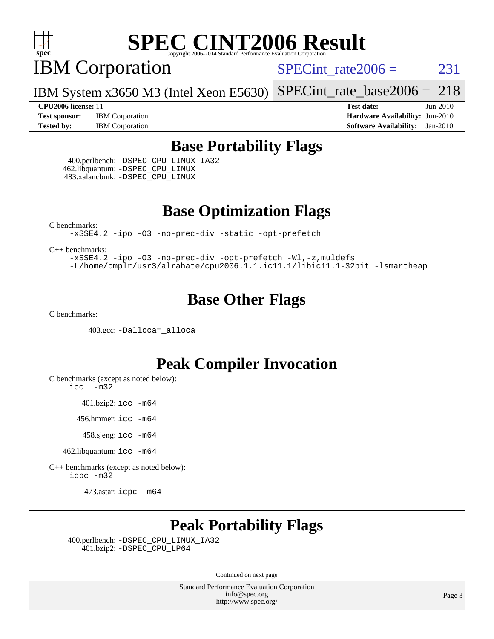

IBM Corporation

 $SPECTnt_rate2006 = 231$ 

IBM System x3650 M3 (Intel Xeon E5630) [SPECint\\_rate\\_base2006 =](http://www.spec.org/auto/cpu2006/Docs/result-fields.html#SPECintratebase2006) 218

**[Test sponsor:](http://www.spec.org/auto/cpu2006/Docs/result-fields.html#Testsponsor)** IBM Corporation **[Hardware Availability:](http://www.spec.org/auto/cpu2006/Docs/result-fields.html#HardwareAvailability)** Jun-2010

**[CPU2006 license:](http://www.spec.org/auto/cpu2006/Docs/result-fields.html#CPU2006license)** 11 **[Test date:](http://www.spec.org/auto/cpu2006/Docs/result-fields.html#Testdate)** Jun-2010 **[Tested by:](http://www.spec.org/auto/cpu2006/Docs/result-fields.html#Testedby)** IBM Corporation **[Software Availability:](http://www.spec.org/auto/cpu2006/Docs/result-fields.html#SoftwareAvailability)** Jan-2010

## **[Base Portability Flags](http://www.spec.org/auto/cpu2006/Docs/result-fields.html#BasePortabilityFlags)**

 400.perlbench: [-DSPEC\\_CPU\\_LINUX\\_IA32](http://www.spec.org/cpu2006/results/res2010q3/cpu2006-20100621-11850.flags.html#b400.perlbench_baseCPORTABILITY_DSPEC_CPU_LINUX_IA32) 462.libquantum: [-DSPEC\\_CPU\\_LINUX](http://www.spec.org/cpu2006/results/res2010q3/cpu2006-20100621-11850.flags.html#b462.libquantum_baseCPORTABILITY_DSPEC_CPU_LINUX) 483.xalancbmk: [-DSPEC\\_CPU\\_LINUX](http://www.spec.org/cpu2006/results/res2010q3/cpu2006-20100621-11850.flags.html#b483.xalancbmk_baseCXXPORTABILITY_DSPEC_CPU_LINUX)

**[Base Optimization Flags](http://www.spec.org/auto/cpu2006/Docs/result-fields.html#BaseOptimizationFlags)**

[C benchmarks](http://www.spec.org/auto/cpu2006/Docs/result-fields.html#Cbenchmarks):

[-xSSE4.2](http://www.spec.org/cpu2006/results/res2010q3/cpu2006-20100621-11850.flags.html#user_CCbase_f-xSSE42_f91528193cf0b216347adb8b939d4107) [-ipo](http://www.spec.org/cpu2006/results/res2010q3/cpu2006-20100621-11850.flags.html#user_CCbase_f-ipo) [-O3](http://www.spec.org/cpu2006/results/res2010q3/cpu2006-20100621-11850.flags.html#user_CCbase_f-O3) [-no-prec-div](http://www.spec.org/cpu2006/results/res2010q3/cpu2006-20100621-11850.flags.html#user_CCbase_f-no-prec-div) [-static](http://www.spec.org/cpu2006/results/res2010q3/cpu2006-20100621-11850.flags.html#user_CCbase_f-static) [-opt-prefetch](http://www.spec.org/cpu2006/results/res2010q3/cpu2006-20100621-11850.flags.html#user_CCbase_f-opt-prefetch)

[C++ benchmarks:](http://www.spec.org/auto/cpu2006/Docs/result-fields.html#CXXbenchmarks)

[-xSSE4.2](http://www.spec.org/cpu2006/results/res2010q3/cpu2006-20100621-11850.flags.html#user_CXXbase_f-xSSE42_f91528193cf0b216347adb8b939d4107) [-ipo](http://www.spec.org/cpu2006/results/res2010q3/cpu2006-20100621-11850.flags.html#user_CXXbase_f-ipo) [-O3](http://www.spec.org/cpu2006/results/res2010q3/cpu2006-20100621-11850.flags.html#user_CXXbase_f-O3) [-no-prec-div](http://www.spec.org/cpu2006/results/res2010q3/cpu2006-20100621-11850.flags.html#user_CXXbase_f-no-prec-div) [-opt-prefetch](http://www.spec.org/cpu2006/results/res2010q3/cpu2006-20100621-11850.flags.html#user_CXXbase_f-opt-prefetch) [-Wl,-z,muldefs](http://www.spec.org/cpu2006/results/res2010q3/cpu2006-20100621-11850.flags.html#user_CXXbase_link_force_multiple1_74079c344b956b9658436fd1b6dd3a8a) [-L/home/cmplr/usr3/alrahate/cpu2006.1.1.ic11.1/libic11.1-32bit -lsmartheap](http://www.spec.org/cpu2006/results/res2010q3/cpu2006-20100621-11850.flags.html#user_CXXbase_SmartHeap_d86dffe4a79b79ef8890d5cce17030c3)

## **[Base Other Flags](http://www.spec.org/auto/cpu2006/Docs/result-fields.html#BaseOtherFlags)**

[C benchmarks](http://www.spec.org/auto/cpu2006/Docs/result-fields.html#Cbenchmarks):

403.gcc: [-Dalloca=\\_alloca](http://www.spec.org/cpu2006/results/res2010q3/cpu2006-20100621-11850.flags.html#b403.gcc_baseEXTRA_CFLAGS_Dalloca_be3056838c12de2578596ca5467af7f3)

## **[Peak Compiler Invocation](http://www.spec.org/auto/cpu2006/Docs/result-fields.html#PeakCompilerInvocation)**

[C benchmarks \(except as noted below\)](http://www.spec.org/auto/cpu2006/Docs/result-fields.html#Cbenchmarksexceptasnotedbelow):

[icc -m32](http://www.spec.org/cpu2006/results/res2010q3/cpu2006-20100621-11850.flags.html#user_CCpeak_intel_icc_32bit_5ff4a39e364c98233615fdd38438c6f2)

401.bzip2: [icc -m64](http://www.spec.org/cpu2006/results/res2010q3/cpu2006-20100621-11850.flags.html#user_peakCCLD401_bzip2_intel_icc_64bit_bda6cc9af1fdbb0edc3795bac97ada53)

456.hmmer: [icc -m64](http://www.spec.org/cpu2006/results/res2010q3/cpu2006-20100621-11850.flags.html#user_peakCCLD456_hmmer_intel_icc_64bit_bda6cc9af1fdbb0edc3795bac97ada53)

458.sjeng: [icc -m64](http://www.spec.org/cpu2006/results/res2010q3/cpu2006-20100621-11850.flags.html#user_peakCCLD458_sjeng_intel_icc_64bit_bda6cc9af1fdbb0edc3795bac97ada53)

462.libquantum: [icc -m64](http://www.spec.org/cpu2006/results/res2010q3/cpu2006-20100621-11850.flags.html#user_peakCCLD462_libquantum_intel_icc_64bit_bda6cc9af1fdbb0edc3795bac97ada53)

[C++ benchmarks \(except as noted below\):](http://www.spec.org/auto/cpu2006/Docs/result-fields.html#CXXbenchmarksexceptasnotedbelow) [icpc -m32](http://www.spec.org/cpu2006/results/res2010q3/cpu2006-20100621-11850.flags.html#user_CXXpeak_intel_icpc_32bit_4e5a5ef1a53fd332b3c49e69c3330699)

473.astar: [icpc -m64](http://www.spec.org/cpu2006/results/res2010q3/cpu2006-20100621-11850.flags.html#user_peakCXXLD473_astar_intel_icpc_64bit_fc66a5337ce925472a5c54ad6a0de310)

## **[Peak Portability Flags](http://www.spec.org/auto/cpu2006/Docs/result-fields.html#PeakPortabilityFlags)**

 400.perlbench: [-DSPEC\\_CPU\\_LINUX\\_IA32](http://www.spec.org/cpu2006/results/res2010q3/cpu2006-20100621-11850.flags.html#b400.perlbench_peakCPORTABILITY_DSPEC_CPU_LINUX_IA32) 401.bzip2: [-DSPEC\\_CPU\\_LP64](http://www.spec.org/cpu2006/results/res2010q3/cpu2006-20100621-11850.flags.html#suite_peakCPORTABILITY401_bzip2_DSPEC_CPU_LP64)

Continued on next page

Standard Performance Evaluation Corporation [info@spec.org](mailto:info@spec.org) <http://www.spec.org/>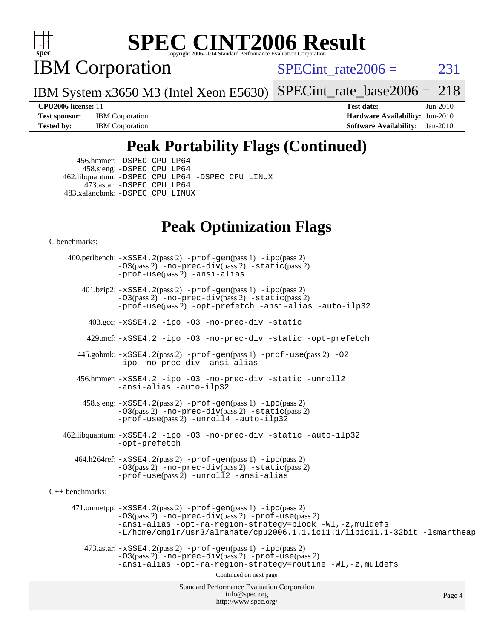

IBM Corporation

SPECint rate $2006 = 231$ 

IBM System x3650 M3 (Intel Xeon E5630) [SPECint\\_rate\\_base2006 =](http://www.spec.org/auto/cpu2006/Docs/result-fields.html#SPECintratebase2006) 218

**[Test sponsor:](http://www.spec.org/auto/cpu2006/Docs/result-fields.html#Testsponsor)** IBM Corporation **[Hardware Availability:](http://www.spec.org/auto/cpu2006/Docs/result-fields.html#HardwareAvailability)** Jun-2010 **[Tested by:](http://www.spec.org/auto/cpu2006/Docs/result-fields.html#Testedby)** IBM Corporation **[Software Availability:](http://www.spec.org/auto/cpu2006/Docs/result-fields.html#SoftwareAvailability)** Jan-2010

**[CPU2006 license:](http://www.spec.org/auto/cpu2006/Docs/result-fields.html#CPU2006license)** 11 **[Test date:](http://www.spec.org/auto/cpu2006/Docs/result-fields.html#Testdate)** Jun-2010

## **[Peak Portability Flags \(Continued\)](http://www.spec.org/auto/cpu2006/Docs/result-fields.html#PeakPortabilityFlags)**

 456.hmmer: [-DSPEC\\_CPU\\_LP64](http://www.spec.org/cpu2006/results/res2010q3/cpu2006-20100621-11850.flags.html#suite_peakCPORTABILITY456_hmmer_DSPEC_CPU_LP64) 458.sjeng: [-DSPEC\\_CPU\\_LP64](http://www.spec.org/cpu2006/results/res2010q3/cpu2006-20100621-11850.flags.html#suite_peakCPORTABILITY458_sjeng_DSPEC_CPU_LP64) 462.libquantum: [-DSPEC\\_CPU\\_LP64](http://www.spec.org/cpu2006/results/res2010q3/cpu2006-20100621-11850.flags.html#suite_peakCPORTABILITY462_libquantum_DSPEC_CPU_LP64) [-DSPEC\\_CPU\\_LINUX](http://www.spec.org/cpu2006/results/res2010q3/cpu2006-20100621-11850.flags.html#b462.libquantum_peakCPORTABILITY_DSPEC_CPU_LINUX) 473.astar: [-DSPEC\\_CPU\\_LP64](http://www.spec.org/cpu2006/results/res2010q3/cpu2006-20100621-11850.flags.html#suite_peakCXXPORTABILITY473_astar_DSPEC_CPU_LP64) 483.xalancbmk: [-DSPEC\\_CPU\\_LINUX](http://www.spec.org/cpu2006/results/res2010q3/cpu2006-20100621-11850.flags.html#b483.xalancbmk_peakCXXPORTABILITY_DSPEC_CPU_LINUX)

## **[Peak Optimization Flags](http://www.spec.org/auto/cpu2006/Docs/result-fields.html#PeakOptimizationFlags)**

[C benchmarks](http://www.spec.org/auto/cpu2006/Docs/result-fields.html#Cbenchmarks):

Standard Performance Evaluation Corporation [info@spec.org](mailto:info@spec.org) <http://www.spec.org/> Page 4 400.perlbench: [-xSSE4.2](http://www.spec.org/cpu2006/results/res2010q3/cpu2006-20100621-11850.flags.html#user_peakPASS2_CFLAGSPASS2_LDCFLAGS400_perlbench_f-xSSE42_f91528193cf0b216347adb8b939d4107)(pass 2) [-prof-gen](http://www.spec.org/cpu2006/results/res2010q3/cpu2006-20100621-11850.flags.html#user_peakPASS1_CFLAGSPASS1_LDCFLAGS400_perlbench_prof_gen_e43856698f6ca7b7e442dfd80e94a8fc)(pass 1) [-ipo](http://www.spec.org/cpu2006/results/res2010q3/cpu2006-20100621-11850.flags.html#user_peakPASS2_CFLAGSPASS2_LDCFLAGS400_perlbench_f-ipo)(pass 2) [-O3](http://www.spec.org/cpu2006/results/res2010q3/cpu2006-20100621-11850.flags.html#user_peakPASS2_CFLAGSPASS2_LDCFLAGS400_perlbench_f-O3)(pass 2) [-no-prec-div](http://www.spec.org/cpu2006/results/res2010q3/cpu2006-20100621-11850.flags.html#user_peakPASS2_CFLAGSPASS2_LDCFLAGS400_perlbench_f-no-prec-div)(pass 2) [-static](http://www.spec.org/cpu2006/results/res2010q3/cpu2006-20100621-11850.flags.html#user_peakPASS2_CFLAGSPASS2_LDCFLAGS400_perlbench_f-static)(pass 2) [-prof-use](http://www.spec.org/cpu2006/results/res2010q3/cpu2006-20100621-11850.flags.html#user_peakPASS2_CFLAGSPASS2_LDCFLAGS400_perlbench_prof_use_bccf7792157ff70d64e32fe3e1250b55)(pass 2) [-ansi-alias](http://www.spec.org/cpu2006/results/res2010q3/cpu2006-20100621-11850.flags.html#user_peakCOPTIMIZE400_perlbench_f-ansi-alias) 401.bzip2: [-xSSE4.2](http://www.spec.org/cpu2006/results/res2010q3/cpu2006-20100621-11850.flags.html#user_peakPASS2_CFLAGSPASS2_LDCFLAGS401_bzip2_f-xSSE42_f91528193cf0b216347adb8b939d4107)(pass 2) [-prof-gen](http://www.spec.org/cpu2006/results/res2010q3/cpu2006-20100621-11850.flags.html#user_peakPASS1_CFLAGSPASS1_LDCFLAGS401_bzip2_prof_gen_e43856698f6ca7b7e442dfd80e94a8fc)(pass 1) [-ipo](http://www.spec.org/cpu2006/results/res2010q3/cpu2006-20100621-11850.flags.html#user_peakPASS2_CFLAGSPASS2_LDCFLAGS401_bzip2_f-ipo)(pass 2) [-O3](http://www.spec.org/cpu2006/results/res2010q3/cpu2006-20100621-11850.flags.html#user_peakPASS2_CFLAGSPASS2_LDCFLAGS401_bzip2_f-O3)(pass 2) [-no-prec-div](http://www.spec.org/cpu2006/results/res2010q3/cpu2006-20100621-11850.flags.html#user_peakPASS2_CFLAGSPASS2_LDCFLAGS401_bzip2_f-no-prec-div)(pass 2) [-static](http://www.spec.org/cpu2006/results/res2010q3/cpu2006-20100621-11850.flags.html#user_peakPASS2_CFLAGSPASS2_LDCFLAGS401_bzip2_f-static)(pass 2) [-prof-use](http://www.spec.org/cpu2006/results/res2010q3/cpu2006-20100621-11850.flags.html#user_peakPASS2_CFLAGSPASS2_LDCFLAGS401_bzip2_prof_use_bccf7792157ff70d64e32fe3e1250b55)(pass 2) [-opt-prefetch](http://www.spec.org/cpu2006/results/res2010q3/cpu2006-20100621-11850.flags.html#user_peakCOPTIMIZE401_bzip2_f-opt-prefetch) [-ansi-alias](http://www.spec.org/cpu2006/results/res2010q3/cpu2006-20100621-11850.flags.html#user_peakCOPTIMIZE401_bzip2_f-ansi-alias) [-auto-ilp32](http://www.spec.org/cpu2006/results/res2010q3/cpu2006-20100621-11850.flags.html#user_peakCOPTIMIZE401_bzip2_f-auto-ilp32) 403.gcc: [-xSSE4.2](http://www.spec.org/cpu2006/results/res2010q3/cpu2006-20100621-11850.flags.html#user_peakCOPTIMIZE403_gcc_f-xSSE42_f91528193cf0b216347adb8b939d4107) [-ipo](http://www.spec.org/cpu2006/results/res2010q3/cpu2006-20100621-11850.flags.html#user_peakCOPTIMIZE403_gcc_f-ipo) [-O3](http://www.spec.org/cpu2006/results/res2010q3/cpu2006-20100621-11850.flags.html#user_peakCOPTIMIZE403_gcc_f-O3) [-no-prec-div](http://www.spec.org/cpu2006/results/res2010q3/cpu2006-20100621-11850.flags.html#user_peakCOPTIMIZE403_gcc_f-no-prec-div) [-static](http://www.spec.org/cpu2006/results/res2010q3/cpu2006-20100621-11850.flags.html#user_peakCOPTIMIZE403_gcc_f-static) 429.mcf: [-xSSE4.2](http://www.spec.org/cpu2006/results/res2010q3/cpu2006-20100621-11850.flags.html#user_peakCOPTIMIZE429_mcf_f-xSSE42_f91528193cf0b216347adb8b939d4107) [-ipo](http://www.spec.org/cpu2006/results/res2010q3/cpu2006-20100621-11850.flags.html#user_peakCOPTIMIZE429_mcf_f-ipo) [-O3](http://www.spec.org/cpu2006/results/res2010q3/cpu2006-20100621-11850.flags.html#user_peakCOPTIMIZE429_mcf_f-O3) [-no-prec-div](http://www.spec.org/cpu2006/results/res2010q3/cpu2006-20100621-11850.flags.html#user_peakCOPTIMIZE429_mcf_f-no-prec-div) [-static](http://www.spec.org/cpu2006/results/res2010q3/cpu2006-20100621-11850.flags.html#user_peakCOPTIMIZE429_mcf_f-static) [-opt-prefetch](http://www.spec.org/cpu2006/results/res2010q3/cpu2006-20100621-11850.flags.html#user_peakCOPTIMIZE429_mcf_f-opt-prefetch) 445.gobmk: [-xSSE4.2](http://www.spec.org/cpu2006/results/res2010q3/cpu2006-20100621-11850.flags.html#user_peakPASS2_CFLAGSPASS2_LDCFLAGS445_gobmk_f-xSSE42_f91528193cf0b216347adb8b939d4107)(pass 2) [-prof-gen](http://www.spec.org/cpu2006/results/res2010q3/cpu2006-20100621-11850.flags.html#user_peakPASS1_CFLAGSPASS1_LDCFLAGS445_gobmk_prof_gen_e43856698f6ca7b7e442dfd80e94a8fc)(pass 1) [-prof-use](http://www.spec.org/cpu2006/results/res2010q3/cpu2006-20100621-11850.flags.html#user_peakPASS2_CFLAGSPASS2_LDCFLAGS445_gobmk_prof_use_bccf7792157ff70d64e32fe3e1250b55)(pass 2) [-O2](http://www.spec.org/cpu2006/results/res2010q3/cpu2006-20100621-11850.flags.html#user_peakCOPTIMIZE445_gobmk_f-O2) [-ipo](http://www.spec.org/cpu2006/results/res2010q3/cpu2006-20100621-11850.flags.html#user_peakCOPTIMIZE445_gobmk_f-ipo) [-no-prec-div](http://www.spec.org/cpu2006/results/res2010q3/cpu2006-20100621-11850.flags.html#user_peakCOPTIMIZE445_gobmk_f-no-prec-div) [-ansi-alias](http://www.spec.org/cpu2006/results/res2010q3/cpu2006-20100621-11850.flags.html#user_peakCOPTIMIZE445_gobmk_f-ansi-alias) 456.hmmer: [-xSSE4.2](http://www.spec.org/cpu2006/results/res2010q3/cpu2006-20100621-11850.flags.html#user_peakCOPTIMIZE456_hmmer_f-xSSE42_f91528193cf0b216347adb8b939d4107) [-ipo](http://www.spec.org/cpu2006/results/res2010q3/cpu2006-20100621-11850.flags.html#user_peakCOPTIMIZE456_hmmer_f-ipo) [-O3](http://www.spec.org/cpu2006/results/res2010q3/cpu2006-20100621-11850.flags.html#user_peakCOPTIMIZE456_hmmer_f-O3) [-no-prec-div](http://www.spec.org/cpu2006/results/res2010q3/cpu2006-20100621-11850.flags.html#user_peakCOPTIMIZE456_hmmer_f-no-prec-div) [-static](http://www.spec.org/cpu2006/results/res2010q3/cpu2006-20100621-11850.flags.html#user_peakCOPTIMIZE456_hmmer_f-static) [-unroll2](http://www.spec.org/cpu2006/results/res2010q3/cpu2006-20100621-11850.flags.html#user_peakCOPTIMIZE456_hmmer_f-unroll_784dae83bebfb236979b41d2422d7ec2) [-ansi-alias](http://www.spec.org/cpu2006/results/res2010q3/cpu2006-20100621-11850.flags.html#user_peakCOPTIMIZE456_hmmer_f-ansi-alias) [-auto-ilp32](http://www.spec.org/cpu2006/results/res2010q3/cpu2006-20100621-11850.flags.html#user_peakCOPTIMIZE456_hmmer_f-auto-ilp32) 458.sjeng: [-xSSE4.2](http://www.spec.org/cpu2006/results/res2010q3/cpu2006-20100621-11850.flags.html#user_peakPASS2_CFLAGSPASS2_LDCFLAGS458_sjeng_f-xSSE42_f91528193cf0b216347adb8b939d4107)(pass 2) [-prof-gen](http://www.spec.org/cpu2006/results/res2010q3/cpu2006-20100621-11850.flags.html#user_peakPASS1_CFLAGSPASS1_LDCFLAGS458_sjeng_prof_gen_e43856698f6ca7b7e442dfd80e94a8fc)(pass 1) [-ipo](http://www.spec.org/cpu2006/results/res2010q3/cpu2006-20100621-11850.flags.html#user_peakPASS2_CFLAGSPASS2_LDCFLAGS458_sjeng_f-ipo)(pass 2) [-O3](http://www.spec.org/cpu2006/results/res2010q3/cpu2006-20100621-11850.flags.html#user_peakPASS2_CFLAGSPASS2_LDCFLAGS458_sjeng_f-O3)(pass 2) [-no-prec-div](http://www.spec.org/cpu2006/results/res2010q3/cpu2006-20100621-11850.flags.html#user_peakPASS2_CFLAGSPASS2_LDCFLAGS458_sjeng_f-no-prec-div)(pass 2) [-static](http://www.spec.org/cpu2006/results/res2010q3/cpu2006-20100621-11850.flags.html#user_peakPASS2_CFLAGSPASS2_LDCFLAGS458_sjeng_f-static)(pass 2) [-prof-use](http://www.spec.org/cpu2006/results/res2010q3/cpu2006-20100621-11850.flags.html#user_peakPASS2_CFLAGSPASS2_LDCFLAGS458_sjeng_prof_use_bccf7792157ff70d64e32fe3e1250b55)(pass 2) [-unroll4](http://www.spec.org/cpu2006/results/res2010q3/cpu2006-20100621-11850.flags.html#user_peakCOPTIMIZE458_sjeng_f-unroll_4e5e4ed65b7fd20bdcd365bec371b81f) [-auto-ilp32](http://www.spec.org/cpu2006/results/res2010q3/cpu2006-20100621-11850.flags.html#user_peakCOPTIMIZE458_sjeng_f-auto-ilp32) 462.libquantum: [-xSSE4.2](http://www.spec.org/cpu2006/results/res2010q3/cpu2006-20100621-11850.flags.html#user_peakCOPTIMIZE462_libquantum_f-xSSE42_f91528193cf0b216347adb8b939d4107) [-ipo](http://www.spec.org/cpu2006/results/res2010q3/cpu2006-20100621-11850.flags.html#user_peakCOPTIMIZE462_libquantum_f-ipo) [-O3](http://www.spec.org/cpu2006/results/res2010q3/cpu2006-20100621-11850.flags.html#user_peakCOPTIMIZE462_libquantum_f-O3) [-no-prec-div](http://www.spec.org/cpu2006/results/res2010q3/cpu2006-20100621-11850.flags.html#user_peakCOPTIMIZE462_libquantum_f-no-prec-div) [-static](http://www.spec.org/cpu2006/results/res2010q3/cpu2006-20100621-11850.flags.html#user_peakCOPTIMIZE462_libquantum_f-static) [-auto-ilp32](http://www.spec.org/cpu2006/results/res2010q3/cpu2006-20100621-11850.flags.html#user_peakCOPTIMIZE462_libquantum_f-auto-ilp32) [-opt-prefetch](http://www.spec.org/cpu2006/results/res2010q3/cpu2006-20100621-11850.flags.html#user_peakCOPTIMIZE462_libquantum_f-opt-prefetch) 464.h264ref: [-xSSE4.2](http://www.spec.org/cpu2006/results/res2010q3/cpu2006-20100621-11850.flags.html#user_peakPASS2_CFLAGSPASS2_LDCFLAGS464_h264ref_f-xSSE42_f91528193cf0b216347adb8b939d4107)(pass 2) [-prof-gen](http://www.spec.org/cpu2006/results/res2010q3/cpu2006-20100621-11850.flags.html#user_peakPASS1_CFLAGSPASS1_LDCFLAGS464_h264ref_prof_gen_e43856698f6ca7b7e442dfd80e94a8fc)(pass 1) [-ipo](http://www.spec.org/cpu2006/results/res2010q3/cpu2006-20100621-11850.flags.html#user_peakPASS2_CFLAGSPASS2_LDCFLAGS464_h264ref_f-ipo)(pass 2) [-O3](http://www.spec.org/cpu2006/results/res2010q3/cpu2006-20100621-11850.flags.html#user_peakPASS2_CFLAGSPASS2_LDCFLAGS464_h264ref_f-O3)(pass 2) [-no-prec-div](http://www.spec.org/cpu2006/results/res2010q3/cpu2006-20100621-11850.flags.html#user_peakPASS2_CFLAGSPASS2_LDCFLAGS464_h264ref_f-no-prec-div)(pass 2) [-static](http://www.spec.org/cpu2006/results/res2010q3/cpu2006-20100621-11850.flags.html#user_peakPASS2_CFLAGSPASS2_LDCFLAGS464_h264ref_f-static)(pass 2) [-prof-use](http://www.spec.org/cpu2006/results/res2010q3/cpu2006-20100621-11850.flags.html#user_peakPASS2_CFLAGSPASS2_LDCFLAGS464_h264ref_prof_use_bccf7792157ff70d64e32fe3e1250b55)(pass 2) [-unroll2](http://www.spec.org/cpu2006/results/res2010q3/cpu2006-20100621-11850.flags.html#user_peakCOPTIMIZE464_h264ref_f-unroll_784dae83bebfb236979b41d2422d7ec2) [-ansi-alias](http://www.spec.org/cpu2006/results/res2010q3/cpu2006-20100621-11850.flags.html#user_peakCOPTIMIZE464_h264ref_f-ansi-alias) [C++ benchmarks:](http://www.spec.org/auto/cpu2006/Docs/result-fields.html#CXXbenchmarks) 471.omnetpp: [-xSSE4.2](http://www.spec.org/cpu2006/results/res2010q3/cpu2006-20100621-11850.flags.html#user_peakPASS2_CXXFLAGSPASS2_LDCXXFLAGS471_omnetpp_f-xSSE42_f91528193cf0b216347adb8b939d4107)(pass 2) [-prof-gen](http://www.spec.org/cpu2006/results/res2010q3/cpu2006-20100621-11850.flags.html#user_peakPASS1_CXXFLAGSPASS1_LDCXXFLAGS471_omnetpp_prof_gen_e43856698f6ca7b7e442dfd80e94a8fc)(pass 1) [-ipo](http://www.spec.org/cpu2006/results/res2010q3/cpu2006-20100621-11850.flags.html#user_peakPASS2_CXXFLAGSPASS2_LDCXXFLAGS471_omnetpp_f-ipo)(pass 2) [-O3](http://www.spec.org/cpu2006/results/res2010q3/cpu2006-20100621-11850.flags.html#user_peakPASS2_CXXFLAGSPASS2_LDCXXFLAGS471_omnetpp_f-O3)(pass 2) [-no-prec-div](http://www.spec.org/cpu2006/results/res2010q3/cpu2006-20100621-11850.flags.html#user_peakPASS2_CXXFLAGSPASS2_LDCXXFLAGS471_omnetpp_f-no-prec-div)(pass 2) [-prof-use](http://www.spec.org/cpu2006/results/res2010q3/cpu2006-20100621-11850.flags.html#user_peakPASS2_CXXFLAGSPASS2_LDCXXFLAGS471_omnetpp_prof_use_bccf7792157ff70d64e32fe3e1250b55)(pass 2) [-ansi-alias](http://www.spec.org/cpu2006/results/res2010q3/cpu2006-20100621-11850.flags.html#user_peakCXXOPTIMIZE471_omnetpp_f-ansi-alias) [-opt-ra-region-strategy=block](http://www.spec.org/cpu2006/results/res2010q3/cpu2006-20100621-11850.flags.html#user_peakCXXOPTIMIZE471_omnetpp_f-opt-ra-region-strategy-block_a0a37c372d03933b2a18d4af463c1f69) [-Wl,-z,muldefs](http://www.spec.org/cpu2006/results/res2010q3/cpu2006-20100621-11850.flags.html#user_peakEXTRA_LDFLAGS471_omnetpp_link_force_multiple1_74079c344b956b9658436fd1b6dd3a8a) [-L/home/cmplr/usr3/alrahate/cpu2006.1.1.ic11.1/libic11.1-32bit -lsmartheap](http://www.spec.org/cpu2006/results/res2010q3/cpu2006-20100621-11850.flags.html#user_peakEXTRA_LIBS471_omnetpp_SmartHeap_d86dffe4a79b79ef8890d5cce17030c3)  $473.\text{astar: } -xSSE4$ .  $2(\text{pass 2})$   $-\text{prof-gen}(\text{pass 1})$   $-i\text{po}(\text{pass 2})$ [-O3](http://www.spec.org/cpu2006/results/res2010q3/cpu2006-20100621-11850.flags.html#user_peakPASS2_CXXFLAGSPASS2_LDCXXFLAGS473_astar_f-O3)(pass 2) [-no-prec-div](http://www.spec.org/cpu2006/results/res2010q3/cpu2006-20100621-11850.flags.html#user_peakPASS2_CXXFLAGSPASS2_LDCXXFLAGS473_astar_f-no-prec-div)(pass 2) [-prof-use](http://www.spec.org/cpu2006/results/res2010q3/cpu2006-20100621-11850.flags.html#user_peakPASS2_CXXFLAGSPASS2_LDCXXFLAGS473_astar_prof_use_bccf7792157ff70d64e32fe3e1250b55)(pass 2) [-ansi-alias](http://www.spec.org/cpu2006/results/res2010q3/cpu2006-20100621-11850.flags.html#user_peakCXXOPTIMIZE473_astar_f-ansi-alias) [-opt-ra-region-strategy=routine](http://www.spec.org/cpu2006/results/res2010q3/cpu2006-20100621-11850.flags.html#user_peakCXXOPTIMIZE473_astar_f-opt-ra-region-strategy-routine_ba086ea3b1d46a52e1238e2ca173ed44) [-Wl,-z,muldefs](http://www.spec.org/cpu2006/results/res2010q3/cpu2006-20100621-11850.flags.html#user_peakEXTRA_LDFLAGS473_astar_link_force_multiple1_74079c344b956b9658436fd1b6dd3a8a) Continued on next page